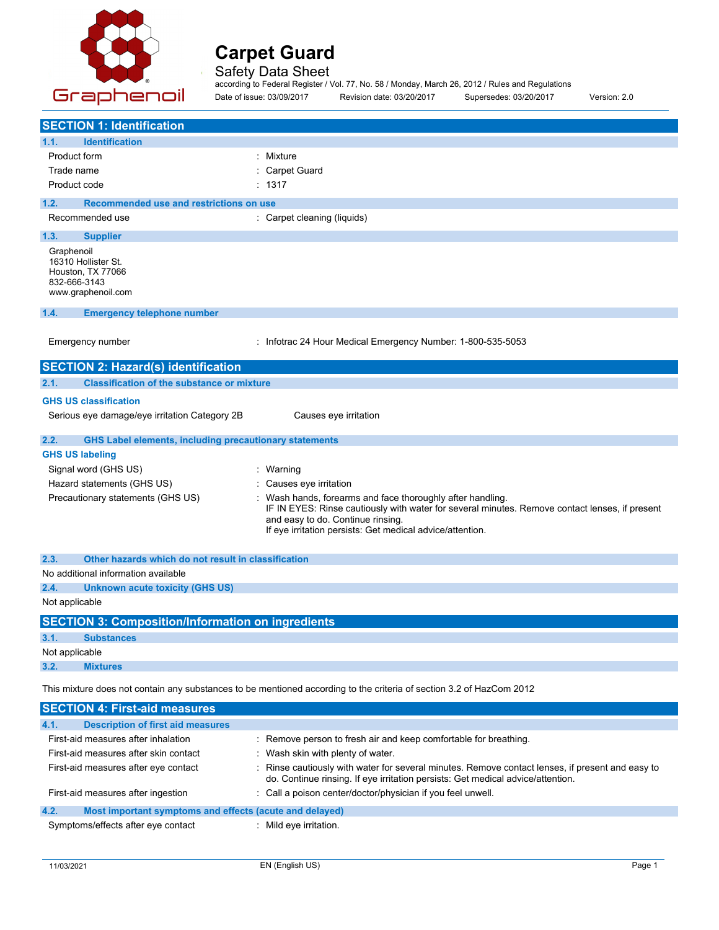

Safety Data Sheet

according to Federal Register / Vol. 77, No. 58 / Monday, March 26, 2012 / Rules and Regulations Date of issue: 03/09/2017 Revision date: 03/20/2017 Supersedes: 03/20/2017 Version: 2.0

**SECTION 1: Identification 1.1. Identification** Product form **: Mixture** Trade name : Carpet Guard Product code : 1317 **1.2. Recommended use and restrictions on use** Recommended use : Carpet cleaning (liquids) **1.3. Supplier** Graphenoil 16310 Hollister St. Houston, TX 77066 832-666-3143 www.graphenoil.com **1.4. Emergency telephone number** Emergency number : Infotrac 24 Hour Medical Emergency Number: 1-800-535-5053 **SECTION 2: Hazard(s) identification 2.1. Classification of the substance or mixture GHS US classification** Serious eye damage/eye irritation Category 2B Causes eye irritation **2.2. GHS Label elements, including precautionary statements GHS US labeling** Signal word (GHS US) **:** Warning Hazard statements (GHS US) : Causes eye irritation Precautionary statements (GHS US) : Wash hands, forearms and face thoroughly after handling. IF IN EYES: Rinse cautiously with water for several minutes. Remove contact lenses, if present and easy to do. Continue rinsing. If eye irritation persists: Get medical advice/attention. **2.3. Other hazards which do not result in classification** No additional information available **2.4. Unknown acute toxicity (GHS US)** Not applicable **SECTION 3: Composition/Information on ingredients 3.1. Substances** Not applicable **3.2. Mixtures** This mixture does not contain any substances to be mentioned according to the criteria of section 3.2 of HazCom 2012

**SECTION 4: First-aid measures 4.1. Description of first aid measures** First-aid measures after inhalation : Remove person to fresh air and keep comfortable for breathing. First-aid measures after skin contact : Wash skin with plenty of water. First-aid measures after eye contact : Rinse cautiously with water for several minutes. Remove contact lenses, if present and easy to do. Continue rinsing. If eye irritation persists: Get medical advice/attention. First-aid measures after ingestion : Call a poison center/doctor/physician if you feel unwell. **4.2. Most important symptoms and effects (acute and delayed)** Symptoms/effects after eye contact : Mild eye irritation.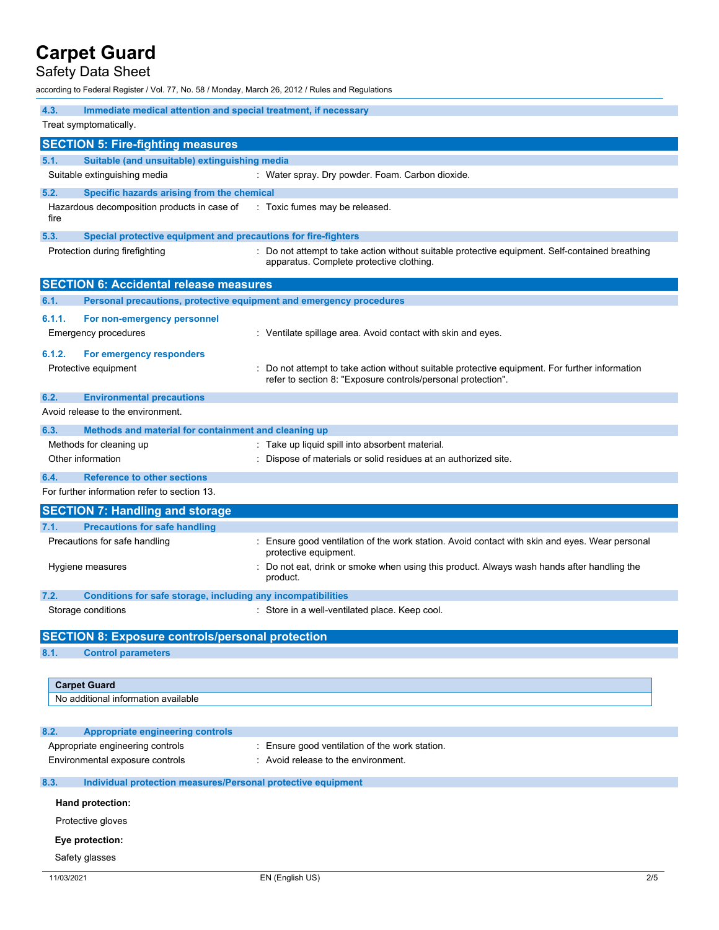# Safety Data Sheet

according to Federal Register / Vol. 77, No. 58 / Monday, March 26, 2012 / Rules and Regulations

|        | 4.3.<br>Immediate medical attention and special treatment, if necessary<br>Treat symptomatically. |                                                                                                                                                              |  |  |  |  |
|--------|---------------------------------------------------------------------------------------------------|--------------------------------------------------------------------------------------------------------------------------------------------------------------|--|--|--|--|
|        | <b>SECTION 5: Fire-fighting measures</b>                                                          |                                                                                                                                                              |  |  |  |  |
| 5.1.   | Suitable (and unsuitable) extinguishing media                                                     |                                                                                                                                                              |  |  |  |  |
|        | Suitable extinguishing media                                                                      | : Water spray. Dry powder. Foam. Carbon dioxide.                                                                                                             |  |  |  |  |
| 5.2.   | Specific hazards arising from the chemical                                                        |                                                                                                                                                              |  |  |  |  |
| fire   | Hazardous decomposition products in case of                                                       | : Toxic fumes may be released.                                                                                                                               |  |  |  |  |
| 5.3.   | Special protective equipment and precautions for fire-fighters                                    |                                                                                                                                                              |  |  |  |  |
|        | Protection during firefighting                                                                    | Do not attempt to take action without suitable protective equipment. Self-contained breathing<br>apparatus. Complete protective clothing.                    |  |  |  |  |
|        | <b>SECTION 6: Accidental release measures</b>                                                     |                                                                                                                                                              |  |  |  |  |
| 6.1.   | Personal precautions, protective equipment and emergency procedures                               |                                                                                                                                                              |  |  |  |  |
| 6.1.1. | For non-emergency personnel<br>Emergency procedures                                               | : Ventilate spillage area. Avoid contact with skin and eyes.                                                                                                 |  |  |  |  |
| 6.1.2. | For emergency responders                                                                          |                                                                                                                                                              |  |  |  |  |
|        | Protective equipment                                                                              | Do not attempt to take action without suitable protective equipment. For further information<br>refer to section 8: "Exposure controls/personal protection". |  |  |  |  |
| 6.2.   | <b>Environmental precautions</b>                                                                  |                                                                                                                                                              |  |  |  |  |
|        | Avoid release to the environment.                                                                 |                                                                                                                                                              |  |  |  |  |
| 6.3.   | Methods and material for containment and cleaning up                                              |                                                                                                                                                              |  |  |  |  |
|        | Methods for cleaning up                                                                           | Take up liquid spill into absorbent material.                                                                                                                |  |  |  |  |
|        | Other information                                                                                 | Dispose of materials or solid residues at an authorized site.                                                                                                |  |  |  |  |
| 6.4.   | <b>Reference to other sections</b>                                                                |                                                                                                                                                              |  |  |  |  |
|        | For further information refer to section 13.                                                      |                                                                                                                                                              |  |  |  |  |
|        | <b>SECTION 7: Handling and storage</b>                                                            |                                                                                                                                                              |  |  |  |  |
| 7.1.   | <b>Precautions for safe handling</b>                                                              |                                                                                                                                                              |  |  |  |  |
|        | Precautions for safe handling                                                                     | : Ensure good ventilation of the work station. Avoid contact with skin and eyes. Wear personal<br>protective equipment.                                      |  |  |  |  |
|        | Hygiene measures                                                                                  | Do not eat, drink or smoke when using this product. Always wash hands after handling the<br>product.                                                         |  |  |  |  |
| 7.2.   | Conditions for safe storage, including any incompatibilities                                      |                                                                                                                                                              |  |  |  |  |
|        | Storage conditions                                                                                | : Store in a well-ventilated place. Keep cool.                                                                                                               |  |  |  |  |
|        | <b>SECTION 8: Exposure controls/personal protection</b>                                           |                                                                                                                                                              |  |  |  |  |
| 8.1.   | <b>Control parameters</b>                                                                         |                                                                                                                                                              |  |  |  |  |
|        | <b>Carpet Guard</b>                                                                               |                                                                                                                                                              |  |  |  |  |
|        | No additional information available                                                               |                                                                                                                                                              |  |  |  |  |
| 8.2.   | <b>Appropriate engineering controls</b>                                                           |                                                                                                                                                              |  |  |  |  |
|        | Appropriate engineering controls                                                                  | : Ensure good ventilation of the work station.                                                                                                               |  |  |  |  |
|        | Environmental exposure controls                                                                   | : Avoid release to the environment.                                                                                                                          |  |  |  |  |
| 8.3.   | Individual protection measures/Personal protective equipment                                      |                                                                                                                                                              |  |  |  |  |
|        | Hand protection:                                                                                  |                                                                                                                                                              |  |  |  |  |
|        |                                                                                                   |                                                                                                                                                              |  |  |  |  |
|        | Protective gloves                                                                                 |                                                                                                                                                              |  |  |  |  |
|        | Eye protection:                                                                                   |                                                                                                                                                              |  |  |  |  |
|        | Safety glasses                                                                                    |                                                                                                                                                              |  |  |  |  |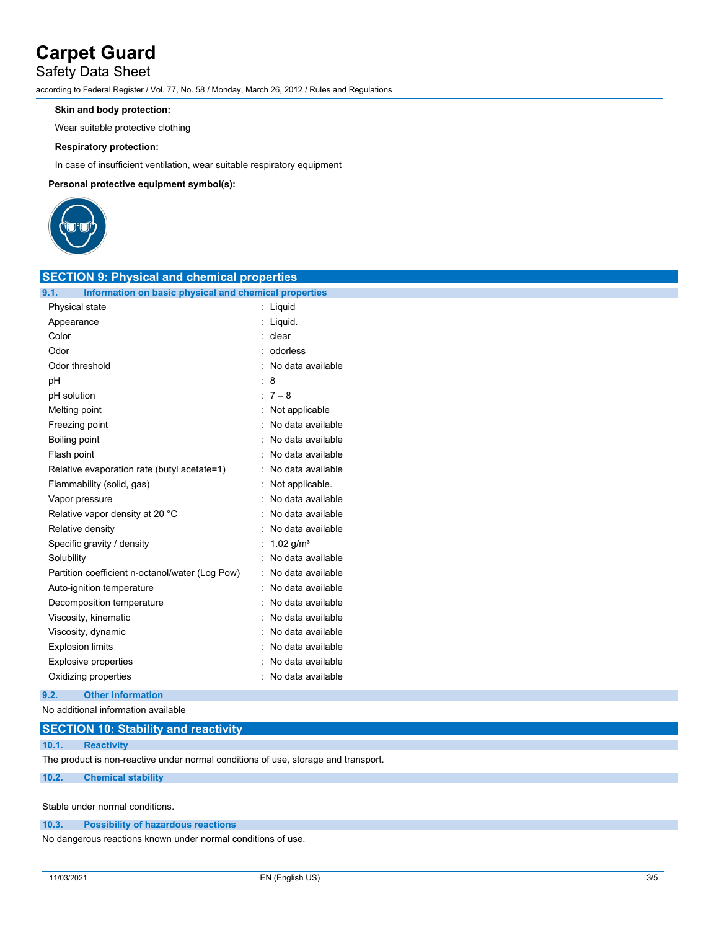# Safety Data Sheet

according to Federal Register / Vol. 77, No. 58 / Monday, March 26, 2012 / Rules and Regulations

## **Skin and body protection:**

Wear suitable protective clothing

### **Respiratory protection:**

In case of insufficient ventilation, wear suitable respiratory equipment

### **Personal protective equipment symbol(s):**



| <b>SECTION 9: Physical and chemical properties</b>            |                     |  |  |  |
|---------------------------------------------------------------|---------------------|--|--|--|
| 9.1.<br>Information on basic physical and chemical properties |                     |  |  |  |
| Physical state                                                | : Liquid            |  |  |  |
| Appearance                                                    | Liquid.             |  |  |  |
| Color                                                         | : clear             |  |  |  |
| Odor                                                          | odorless            |  |  |  |
| Odor threshold                                                | : No data available |  |  |  |
| pH                                                            | : 8                 |  |  |  |
| pH solution                                                   | : $7 - 8$           |  |  |  |
| Melting point                                                 | Not applicable      |  |  |  |
| Freezing point                                                | No data available   |  |  |  |
| Boiling point                                                 | No data available   |  |  |  |
| Flash point                                                   | No data available   |  |  |  |
| Relative evaporation rate (butyl acetate=1)                   | No data available   |  |  |  |
| Flammability (solid, gas)                                     | Not applicable.     |  |  |  |
| Vapor pressure                                                | No data available   |  |  |  |
| Relative vapor density at 20 °C                               | No data available   |  |  |  |
| Relative density                                              | No data available   |  |  |  |
| Specific gravity / density                                    | 1.02 $g/m^3$        |  |  |  |
| Solubility                                                    | No data available   |  |  |  |
| Partition coefficient n-octanol/water (Log Pow)               | No data available   |  |  |  |
| Auto-ignition temperature                                     | No data available   |  |  |  |
| Decomposition temperature                                     | No data available   |  |  |  |
| Viscosity, kinematic                                          | No data available   |  |  |  |
| Viscosity, dynamic                                            | No data available   |  |  |  |
| <b>Explosion limits</b>                                       | No data available   |  |  |  |
| <b>Explosive properties</b>                                   | No data available   |  |  |  |
| Oxidizing properties                                          | No data available   |  |  |  |

## **9.2. Other information**

No additional information available

| <b>SECTION 10: Stability and reactivity</b>                                        |                           |  |  |  |
|------------------------------------------------------------------------------------|---------------------------|--|--|--|
| 10.1.                                                                              | <b>Reactivity</b>         |  |  |  |
| The product is non-reactive under normal conditions of use, storage and transport. |                           |  |  |  |
| 10.2.                                                                              | <b>Chemical stability</b> |  |  |  |

Stable under normal conditions.

#### **10.3. Possibility of hazardous reactions**

No dangerous reactions known under normal conditions of use.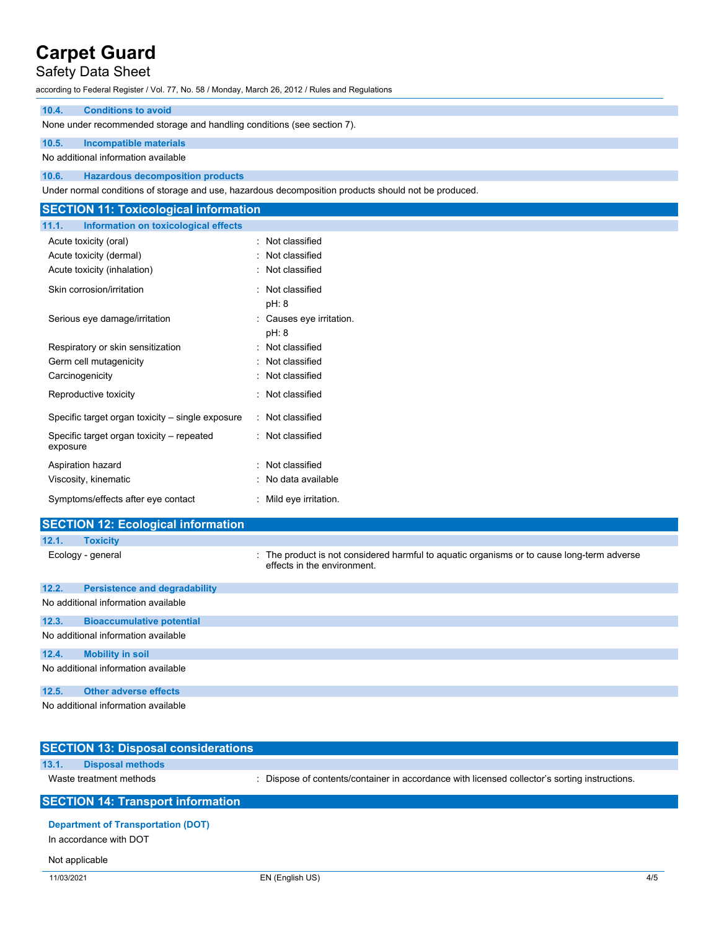# Safety Data Sheet

according to Federal Register / Vol. 77, No. 58 / Monday, March 26, 2012 / Rules and Regulations

# **10.4. Conditions to avoid**

None under recommended storage and handling conditions (see section 7).

## **10.5. Incompatible materials**

No additional information available

## **10.6. Hazardous decomposition products**

Under normal conditions of storage and use, hazardous decomposition products should not be produced.

| <b>SECTION 11: Toxicological information</b>          |                          |
|-------------------------------------------------------|--------------------------|
| 11.1.<br>Information on toxicological effects         |                          |
| Acute toxicity (oral)                                 | : Not classified         |
| Acute toxicity (dermal)                               | : Not classified         |
| Acute toxicity (inhalation)                           | : Not classified         |
| Skin corrosion/irritation                             | : Not classified         |
|                                                       | pH: 8                    |
| Serious eye damage/irritation                         | : Causes eye irritation. |
|                                                       | pH: 8                    |
| Respiratory or skin sensitization                     | : Not classified         |
| Germ cell mutagenicity                                | : Not classified         |
| Carcinogenicity                                       | : Not classified         |
| Reproductive toxicity                                 | : Not classified         |
| Specific target organ toxicity – single exposure      | : Not classified         |
| Specific target organ toxicity – repeated<br>exposure | : Not classified         |
| Aspiration hazard                                     | : Not classified         |
| Viscosity, kinematic                                  | : No data available      |
| Symptoms/effects after eye contact                    | : Mild eye irritation.   |

|       | <b>SECTION 12: Ecological information</b> |                                                                                                                           |
|-------|-------------------------------------------|---------------------------------------------------------------------------------------------------------------------------|
| 12.1. | <b>Toxicity</b>                           |                                                                                                                           |
|       | Ecology - general                         | : The product is not considered harmful to aguatic organisms or to cause long-term adverse<br>effects in the environment. |
| 12.2. | <b>Persistence and degradability</b>      |                                                                                                                           |
|       | No additional information available       |                                                                                                                           |
| 12.3. | <b>Bioaccumulative potential</b>          |                                                                                                                           |
|       | No additional information available       |                                                                                                                           |
| 12.4. | <b>Mobility in soil</b>                   |                                                                                                                           |
|       | No additional information available       |                                                                                                                           |

## **12.5. Other adverse effects**

No additional information available

| <b>SECTION 13: Disposal considerations</b>                          |                                                                                             |
|---------------------------------------------------------------------|---------------------------------------------------------------------------------------------|
| 13.1.<br><b>Disposal methods</b>                                    |                                                                                             |
| Waste treatment methods                                             | Dispose of contents/container in accordance with licensed collector's sorting instructions. |
| <b>SECTION 14: Transport information</b>                            |                                                                                             |
| <b>Department of Transportation (DOT)</b><br>In accordance with DOT |                                                                                             |

### Not applicable